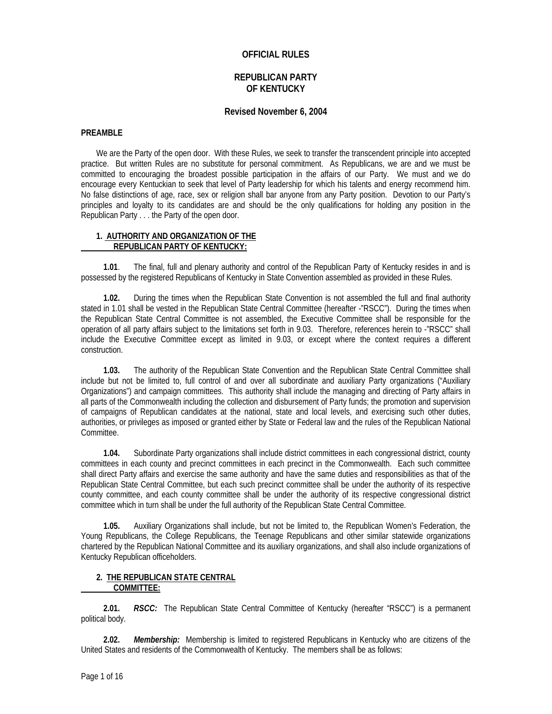## **OFFICIAL RULES**

# **REPUBLICAN PARTY OF KENTUCKY**

## **Revised November 6, 2004**

#### **PREAMBLE**

We are the Party of the open door. With these Rules, we seek to transfer the transcendent principle into accepted practice. But written Rules are no substitute for personal commitment. As Republicans, we are and we must be committed to encouraging the broadest possible participation in the affairs of our Party. We must and we do encourage every Kentuckian to seek that level of Party leadership for which his talents and energy recommend him. No false distinctions of age, race, sex or religion shall bar anyone from any Party position. Devotion to our Party's principles and loyalty to its candidates are and should be the only qualifications for holding any position in the Republican Party . . . the Party of the open door.

## **1. AUTHORITY AND ORGANIZATION OF THE REPUBLICAN PARTY OF KENTUCKY:**

 **1.01**. The final, full and plenary authority and control of the Republican Party of Kentucky resides in and is possessed by the registered Republicans of Kentucky in State Convention assembled as provided in these Rules.

 **1.02.** During the times when the Republican State Convention is not assembled the full and final authority stated in 1.01 shall be vested in the Republican State Central Committee (hereafter -"RSCC"). During the times when the Republican State Central Committee is not assembled, the Executive Committee shall be responsible for the operation of all party affairs subject to the limitations set forth in 9.03. Therefore, references herein to -"RSCC" shall include the Executive Committee except as limited in 9.03, or except where the context requires a different construction.

 **1.03.** The authority of the Republican State Convention and the Republican State Central Committee shall include but not be limited to, full control of and over all subordinate and auxiliary Party organizations ("Auxiliary Organizations") and campaign committees. This authority shall include the managing and directing of Party affairs in all parts of the Commonwealth including the collection and disbursement of Party funds; the promotion and supervision of campaigns of Republican candidates at the national, state and local levels, and exercising such other duties, authorities, or privileges as imposed or granted either by State or Federal law and the rules of the Republican National Committee.

 **1.04.** Subordinate Party organizations shall include district committees in each congressional district, county committees in each county and precinct committees in each precinct in the Commonwealth. Each such committee shall direct Party affairs and exercise the same authority and have the same duties and responsibilities as that of the Republican State Central Committee, but each such precinct committee shall be under the authority of its respective county committee, and each county committee shall be under the authority of its respective congressional district committee which in turn shall be under the full authority of the Republican State Central Committee.

 **1.05.** Auxiliary Organizations shall include, but not be limited to, the Republican Women's Federation, the Young Republicans, the College Republicans, the Teenage Republicans and other similar statewide organizations chartered by the Republican National Committee and its auxiliary organizations, and shall also include organizations of Kentucky Republican officeholders.

## **2. THE REPUBLICAN STATE CENTRAL COMMITTEE:**

 **2.01.** *RSCC:* The Republican State Central Committee of Kentucky (hereafter "RSCC") is a permanent political body.

 **2.02.** *Membership:* Membership is limited to registered Republicans in Kentucky who are citizens of the United States and residents of the Commonwealth of Kentucky. The members shall be as follows: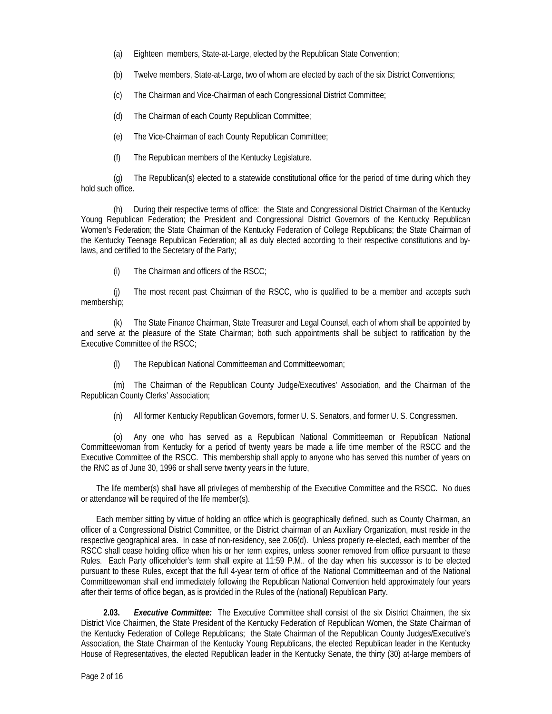- (a) Eighteen members, State-at-Large, elected by the Republican State Convention;
- (b) Twelve members, State-at-Large, two of whom are elected by each of the six District Conventions;
- (c) The Chairman and Vice-Chairman of each Congressional District Committee;
- (d) The Chairman of each County Republican Committee;
- (e) The Vice-Chairman of each County Republican Committee;
- (f) The Republican members of the Kentucky Legislature.

(g) The Republican(s) elected to a statewide constitutional office for the period of time during which they hold such office.

(h) During their respective terms of office: the State and Congressional District Chairman of the Kentucky Young Republican Federation; the President and Congressional District Governors of the Kentucky Republican Women's Federation; the State Chairman of the Kentucky Federation of College Republicans; the State Chairman of the Kentucky Teenage Republican Federation; all as duly elected according to their respective constitutions and bylaws, and certified to the Secretary of the Party;

(i) The Chairman and officers of the RSCC;

(j) The most recent past Chairman of the RSCC, who is qualified to be a member and accepts such membership;

(k) The State Finance Chairman, State Treasurer and Legal Counsel, each of whom shall be appointed by and serve at the pleasure of the State Chairman; both such appointments shall be subject to ratification by the Executive Committee of the RSCC;

(l) The Republican National Committeeman and Committeewoman;

(m) The Chairman of the Republican County Judge/Executives' Association, and the Chairman of the Republican County Clerks' Association;

(n) All former Kentucky Republican Governors, former U. S. Senators, and former U. S. Congressmen.

(o) Any one who has served as a Republican National Committeeman or Republican National Committeewoman from Kentucky for a period of twenty years be made a life time member of the RSCC and the Executive Committee of the RSCC. This membership shall apply to anyone who has served this number of years on the RNC as of June 30, 1996 or shall serve twenty years in the future,

The life member(s) shall have all privileges of membership of the Executive Committee and the RSCC. No dues or attendance will be required of the life member(s).

Each member sitting by virtue of holding an office which is geographically defined, such as County Chairman, an officer of a Congressional District Committee, or the District chairman of an Auxiliary Organization, must reside in the respective geographical area. In case of non-residency, see 2.06(d). Unless properly re-elected, each member of the RSCC shall cease holding office when his or her term expires, unless sooner removed from office pursuant to these Rules. Each Party officeholder's term shall expire at 11:59 P.M.. of the day when his successor is to be elected pursuant to these Rules, except that the full 4-year term of office of the National Committeeman and of the National Committeewoman shall end immediately following the Republican National Convention held approximately four years after their terms of office began, as is provided in the Rules of the (national) Republican Party.

 **2.03.** *Executive Committee:* The Executive Committee shall consist of the six District Chairmen, the six District Vice Chairmen, the State President of the Kentucky Federation of Republican Women, the State Chairman of the Kentucky Federation of College Republicans; the State Chairman of the Republican County Judges/Executive's Association, the State Chairman of the Kentucky Young Republicans, the elected Republican leader in the Kentucky House of Representatives, the elected Republican leader in the Kentucky Senate, the thirty (30) at-large members of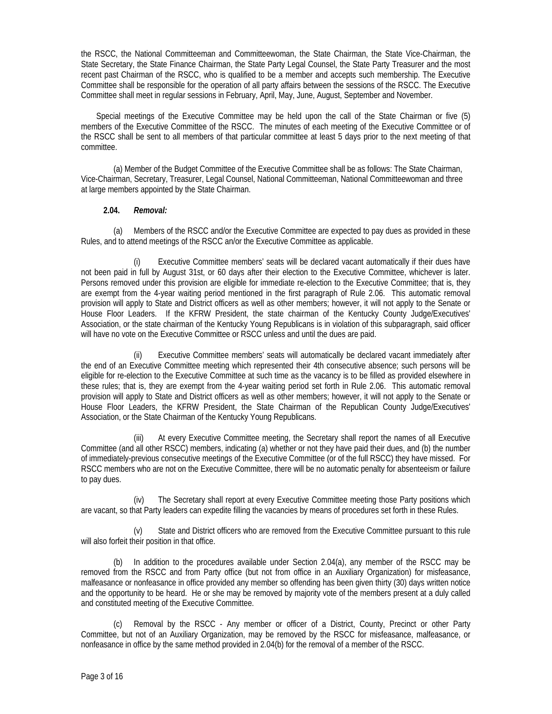the RSCC, the National Committeeman and Committeewoman, the State Chairman, the State Vice-Chairman, the State Secretary, the State Finance Chairman, the State Party Legal Counsel, the State Party Treasurer and the most recent past Chairman of the RSCC, who is qualified to be a member and accepts such membership. The Executive Committee shall be responsible for the operation of all party affairs between the sessions of the RSCC. The Executive Committee shall meet in regular sessions in February, April, May, June, August, September and November.

Special meetings of the Executive Committee may be held upon the call of the State Chairman or five (5) members of the Executive Committee of the RSCC. The minutes of each meeting of the Executive Committee or of the RSCC shall be sent to all members of that particular committee at least 5 days prior to the next meeting of that committee.

(a) Member of the Budget Committee of the Executive Committee shall be as follows: The State Chairman, Vice-Chairman, Secretary, Treasurer, Legal Counsel, National Committeeman, National Committeewoman and three at large members appointed by the State Chairman.

# **2.04.** *Removal:*

(a) Members of the RSCC and/or the Executive Committee are expected to pay dues as provided in these Rules, and to attend meetings of the RSCC an/or the Executive Committee as applicable.

Executive Committee members' seats will be declared vacant automatically if their dues have not been paid in full by August 31st, or 60 days after their election to the Executive Committee, whichever is later. Persons removed under this provision are eligible for immediate re-election to the Executive Committee; that is, they are exempt from the 4-year waiting period mentioned in the first paragraph of Rule 2.06. This automatic removal provision will apply to State and District officers as well as other members; however, it will not apply to the Senate or House Floor Leaders. If the KFRW President, the state chairman of the Kentucky County Judge/Executives' Association, or the state chairman of the Kentucky Young Republicans is in violation of this subparagraph, said officer will have no vote on the Executive Committee or RSCC unless and until the dues are paid.

(ii) Executive Committee members' seats will automatically be declared vacant immediately after the end of an Executive Committee meeting which represented their 4th consecutive absence; such persons will be eligible for re-election to the Executive Committee at such time as the vacancy is to be filled as provided elsewhere in these rules; that is, they are exempt from the 4-year waiting period set forth in Rule 2.06. This automatic removal provision will apply to State and District officers as well as other members; however, it will not apply to the Senate or House Floor Leaders, the KFRW President, the State Chairman of the Republican County Judge/Executives' Association, or the State Chairman of the Kentucky Young Republicans.

(iii) At every Executive Committee meeting, the Secretary shall report the names of all Executive Committee (and all other RSCC) members, indicating (a) whether or not they have paid their dues, and (b) the number of immediately-previous consecutive meetings of the Executive Committee (or of the full RSCC) they have missed. For RSCC members who are not on the Executive Committee, there will be no automatic penalty for absenteeism or failure to pay dues.

(iv) The Secretary shall report at every Executive Committee meeting those Party positions which are vacant, so that Party leaders can expedite filling the vacancies by means of procedures set forth in these Rules.

(v) State and District officers who are removed from the Executive Committee pursuant to this rule will also forfeit their position in that office.

(b) In addition to the procedures available under Section 2.04(a), any member of the RSCC may be removed from the RSCC and from Party office (but not from office in an Auxiliary Organization) for misfeasance, malfeasance or nonfeasance in office provided any member so offending has been given thirty (30) days written notice and the opportunity to be heard. He or she may be removed by majority vote of the members present at a duly called and constituted meeting of the Executive Committee.

(c) Removal by the RSCC - Any member or officer of a District, County, Precinct or other Party Committee, but not of an Auxiliary Organization, may be removed by the RSCC for misfeasance, malfeasance, or nonfeasance in office by the same method provided in 2.04(b) for the removal of a member of the RSCC.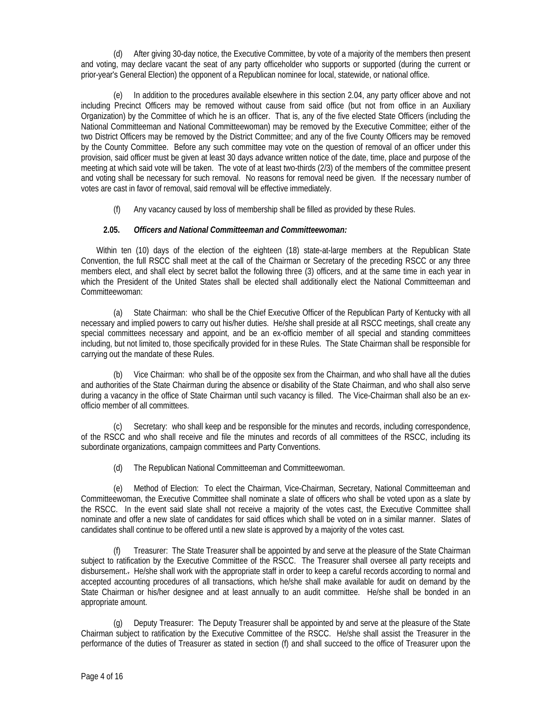(d) After giving 30-day notice, the Executive Committee, by vote of a majority of the members then present and voting, may declare vacant the seat of any party officeholder who supports or supported (during the current or prior-year's General Election) the opponent of a Republican nominee for local, statewide, or national office.

(e) In addition to the procedures available elsewhere in this section 2.04, any party officer above and not including Precinct Officers may be removed without cause from said office (but not from office in an Auxiliary Organization) by the Committee of which he is an officer. That is, any of the five elected State Officers (including the National Committeeman and National Committeewoman) may be removed by the Executive Committee; either of the two District Officers may be removed by the District Committee; and any of the five County Officers may be removed by the County Committee. Before any such committee may vote on the question of removal of an officer under this provision, said officer must be given at least 30 days advance written notice of the date, time, place and purpose of the meeting at which said vote will be taken. The vote of at least two-thirds (2/3) of the members of the committee present and voting shall be necessary for such removal. No reasons for removal need be given. If the necessary number of votes are cast in favor of removal, said removal will be effective immediately.

(f) Any vacancy caused by loss of membership shall be filled as provided by these Rules.

# **2.05.** *Officers and National Committeeman and Committeewoman:*

Within ten (10) days of the election of the eighteen (18) state-at-large members at the Republican State Convention, the full RSCC shall meet at the call of the Chairman or Secretary of the preceding RSCC or any three members elect, and shall elect by secret ballot the following three (3) officers, and at the same time in each year in which the President of the United States shall be elected shall additionally elect the National Committeeman and Committeewoman:

(a) State Chairman: who shall be the Chief Executive Officer of the Republican Party of Kentucky with all necessary and implied powers to carry out his/her duties. He/she shall preside at all RSCC meetings, shall create any special committees necessary and appoint, and be an ex-officio member of all special and standing committees including, but not limited to, those specifically provided for in these Rules. The State Chairman shall be responsible for carrying out the mandate of these Rules.

(b) Vice Chairman: who shall be of the opposite sex from the Chairman, and who shall have all the duties and authorities of the State Chairman during the absence or disability of the State Chairman, and who shall also serve during a vacancy in the office of State Chairman until such vacancy is filled. The Vice-Chairman shall also be an exofficio member of all committees.

(c) Secretary: who shall keep and be responsible for the minutes and records, including correspondence, of the RSCC and who shall receive and file the minutes and records of all committees of the RSCC, including its subordinate organizations, campaign committees and Party Conventions.

(d) The Republican National Committeeman and Committeewoman.

(e) Method of Election: To elect the Chairman, Vice-Chairman, Secretary, National Committeeman and Committeewoman, the Executive Committee shall nominate a slate of officers who shall be voted upon as a slate by the RSCC. In the event said slate shall not receive a majority of the votes cast, the Executive Committee shall nominate and offer a new slate of candidates for said offices which shall be voted on in a similar manner. Slates of candidates shall continue to be offered until a new slate is approved by a majority of the votes cast.

(f) Treasurer: The State Treasurer shall be appointed by and serve at the pleasure of the State Chairman subject to ratification by the Executive Committee of the RSCC. The Treasurer shall oversee all party receipts and disbursement.. He/she shall work with the appropriate staff in order to keep a careful records according to normal and accepted accounting procedures of all transactions, which he/she shall make available for audit on demand by the State Chairman or his/her designee and at least annually to an audit committee. He/she shall be bonded in an appropriate amount.

(g) Deputy Treasurer: The Deputy Treasurer shall be appointed by and serve at the pleasure of the State Chairman subject to ratification by the Executive Committee of the RSCC. He/she shall assist the Treasurer in the performance of the duties of Treasurer as stated in section (f) and shall succeed to the office of Treasurer upon the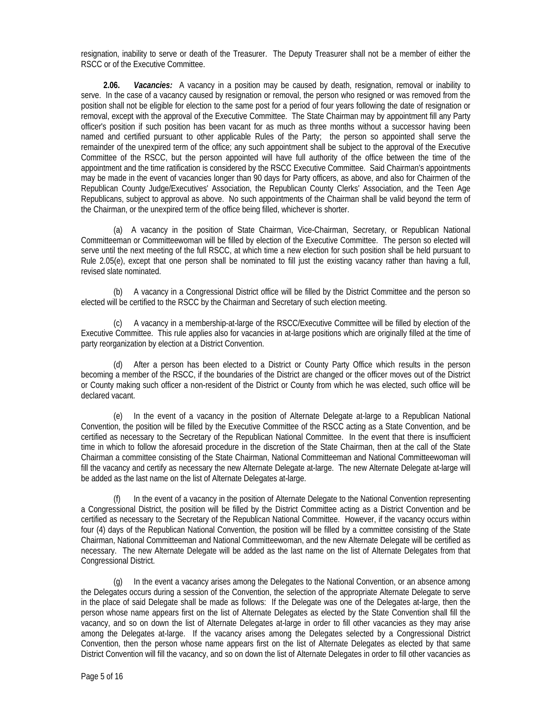resignation, inability to serve or death of the Treasurer. The Deputy Treasurer shall not be a member of either the RSCC or of the Executive Committee.

 **2.06.** *Vacancies:* A vacancy in a position may be caused by death, resignation, removal or inability to serve. In the case of a vacancy caused by resignation or removal, the person who resigned or was removed from the position shall not be eligible for election to the same post for a period of four years following the date of resignation or removal, except with the approval of the Executive Committee. The State Chairman may by appointment fill any Party officer's position if such position has been vacant for as much as three months without a successor having been named and certified pursuant to other applicable Rules of the Party; the person so appointed shall serve the remainder of the unexpired term of the office; any such appointment shall be subject to the approval of the Executive Committee of the RSCC, but the person appointed will have full authority of the office between the time of the appointment and the time ratification is considered by the RSCC Executive Committee. Said Chairman's appointments may be made in the event of vacancies longer than 90 days for Party officers, as above, and also for Chairmen of the Republican County Judge/Executives' Association, the Republican County Clerks' Association, and the Teen Age Republicans, subject to approval as above. No such appointments of the Chairman shall be valid beyond the term of the Chairman, or the unexpired term of the office being filled, whichever is shorter.

(a) A vacancy in the position of State Chairman, Vice-Chairman, Secretary, or Republican National Committeeman or Committeewoman will be filled by election of the Executive Committee. The person so elected will serve until the next meeting of the full RSCC, at which time a new election for such position shall be held pursuant to Rule 2.05(e), except that one person shall be nominated to fill just the existing vacancy rather than having a full, revised slate nominated.

(b) A vacancy in a Congressional District office will be filled by the District Committee and the person so elected will be certified to the RSCC by the Chairman and Secretary of such election meeting.

(c) A vacancy in a membership-at-large of the RSCC/Executive Committee will be filled by election of the Executive Committee. This rule applies also for vacancies in at-large positions which are originally filled at the time of party reorganization by election at a District Convention.

(d) After a person has been elected to a District or County Party Office which results in the person becoming a member of the RSCC, if the boundaries of the District are changed or the officer moves out of the District or County making such officer a non-resident of the District or County from which he was elected, such office will be declared vacant.

(e) In the event of a vacancy in the position of Alternate Delegate at-large to a Republican National Convention, the position will be filled by the Executive Committee of the RSCC acting as a State Convention, and be certified as necessary to the Secretary of the Republican National Committee. In the event that there is insufficient time in which to follow the aforesaid procedure in the discretion of the State Chairman, then at the call of the State Chairman a committee consisting of the State Chairman, National Committeeman and National Committeewoman will fill the vacancy and certify as necessary the new Alternate Delegate at-large. The new Alternate Delegate at-large will be added as the last name on the list of Alternate Delegates at-large.

In the event of a vacancy in the position of Alternate Delegate to the National Convention representing a Congressional District, the position will be filled by the District Committee acting as a District Convention and be certified as necessary to the Secretary of the Republican National Committee. However, if the vacancy occurs within four (4) days of the Republican National Convention, the position will be filled by a committee consisting of the State Chairman, National Committeeman and National Committeewoman, and the new Alternate Delegate will be certified as necessary. The new Alternate Delegate will be added as the last name on the list of Alternate Delegates from that Congressional District.

(g) In the event a vacancy arises among the Delegates to the National Convention, or an absence among the Delegates occurs during a session of the Convention, the selection of the appropriate Alternate Delegate to serve in the place of said Delegate shall be made as follows: If the Delegate was one of the Delegates at-large, then the person whose name appears first on the list of Alternate Delegates as elected by the State Convention shall fill the vacancy, and so on down the list of Alternate Delegates at-large in order to fill other vacancies as they may arise among the Delegates at-large. If the vacancy arises among the Delegates selected by a Congressional District Convention, then the person whose name appears first on the list of Alternate Delegates as elected by that same District Convention will fill the vacancy, and so on down the list of Alternate Delegates in order to fill other vacancies as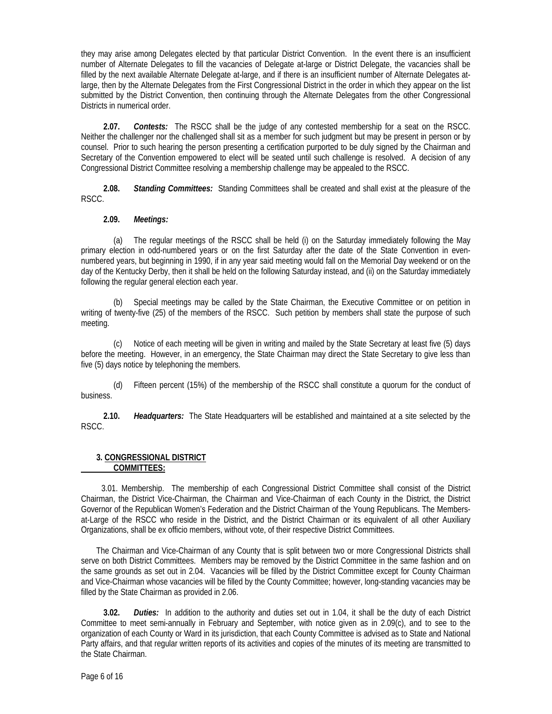they may arise among Delegates elected by that particular District Convention. In the event there is an insufficient number of Alternate Delegates to fill the vacancies of Delegate at-large or District Delegate, the vacancies shall be filled by the next available Alternate Delegate at-large, and if there is an insufficient number of Alternate Delegates atlarge, then by the Alternate Delegates from the First Congressional District in the order in which they appear on the list submitted by the District Convention, then continuing through the Alternate Delegates from the other Congressional Districts in numerical order.

 **2.07.** *Contests:* The RSCC shall be the judge of any contested membership for a seat on the RSCC. Neither the challenger nor the challenged shall sit as a member for such judgment but may be present in person or by counsel. Prior to such hearing the person presenting a certification purported to be duly signed by the Chairman and Secretary of the Convention empowered to elect will be seated until such challenge is resolved. A decision of any Congressional District Committee resolving a membership challenge may be appealed to the RSCC.

 **2.08.** *Standing Committees:* Standing Committees shall be created and shall exist at the pleasure of the RSCC.

## **2.09.** *Meetings:*

(a) The regular meetings of the RSCC shall be held (i) on the Saturday immediately following the May primary election in odd-numbered years or on the first Saturday after the date of the State Convention in evennumbered years, but beginning in 1990, if in any year said meeting would fall on the Memorial Day weekend or on the day of the Kentucky Derby, then it shall be held on the following Saturday instead, and (ii) on the Saturday immediately following the regular general election each year.

(b) Special meetings may be called by the State Chairman, the Executive Committee or on petition in writing of twenty-five (25) of the members of the RSCC. Such petition by members shall state the purpose of such meeting.

(c) Notice of each meeting will be given in writing and mailed by the State Secretary at least five (5) days before the meeting. However, in an emergency, the State Chairman may direct the State Secretary to give less than five (5) days notice by telephoning the members.

(d) Fifteen percent (15%) of the membership of the RSCC shall constitute a quorum for the conduct of business.

 **2.10.** *Headquarters:* The State Headquarters will be established and maintained at a site selected by the RSCC.

#### **3. CONGRESSIONAL DISTRICT COMMITTEES:**

3.01. Membership. The membership of each Congressional District Committee shall consist of the District Chairman, the District Vice-Chairman, the Chairman and Vice-Chairman of each County in the District, the District Governor of the Republican Women's Federation and the District Chairman of the Young Republicans. The Membersat-Large of the RSCC who reside in the District, and the District Chairman or its equivalent of all other Auxiliary Organizations, shall be ex officio members, without vote, of their respective District Committees.

The Chairman and Vice-Chairman of any County that is split between two or more Congressional Districts shall serve on both District Committees. Members may be removed by the District Committee in the same fashion and on the same grounds as set out in 2.04. Vacancies will be filled by the District Committee except for County Chairman and Vice-Chairman whose vacancies will be filled by the County Committee; however, long-standing vacancies may be filled by the State Chairman as provided in 2.06.

 **3.02.** *Duties:* In addition to the authority and duties set out in 1.04, it shall be the duty of each District Committee to meet semi-annually in February and September, with notice given as in 2.09(c), and to see to the organization of each County or Ward in its jurisdiction, that each County Committee is advised as to State and National Party affairs, and that regular written reports of its activities and copies of the minutes of its meeting are transmitted to the State Chairman.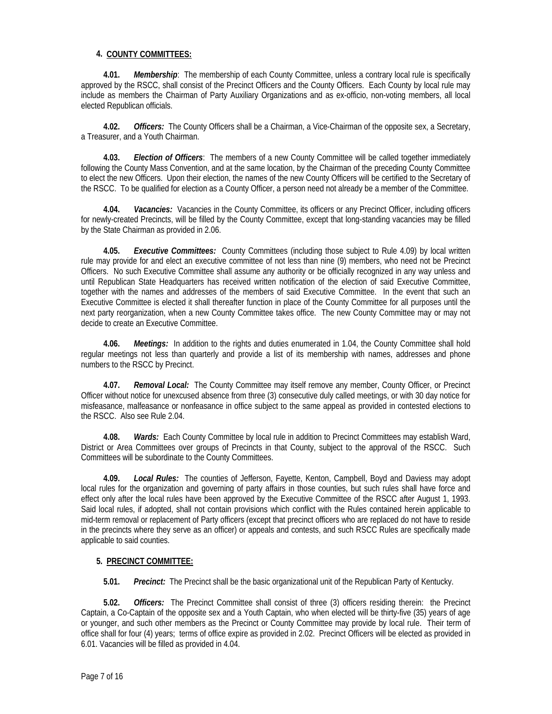# **4. COUNTY COMMITTEES:**

 **4.01.** *Membership*: The membership of each County Committee, unless a contrary local rule is specifically approved by the RSCC, shall consist of the Precinct Officers and the County Officers. Each County by local rule may include as members the Chairman of Party Auxiliary Organizations and as ex-officio, non-voting members, all local elected Republican officials.

 **4.02.** *Officers:* The County Officers shall be a Chairman, a Vice-Chairman of the opposite sex, a Secretary, a Treasurer, and a Youth Chairman.

 **4.03.** *Election of Officers*: The members of a new County Committee will be called together immediately following the County Mass Convention, and at the same location, by the Chairman of the preceding County Committee to elect the new Officers. Upon their election, the names of the new County Officers will be certified to the Secretary of the RSCC. To be qualified for election as a County Officer, a person need not already be a member of the Committee.

 **4.04.** *Vacancies:* Vacancies in the County Committee, its officers or any Precinct Officer, including officers for newly-created Precincts, will be filled by the County Committee, except that long-standing vacancies may be filled by the State Chairman as provided in 2.06.

 **4.05.** *Executive Committees:* County Committees (including those subject to Rule 4.09) by local written rule may provide for and elect an executive committee of not less than nine (9) members, who need not be Precinct Officers. No such Executive Committee shall assume any authority or be officially recognized in any way unless and until Republican State Headquarters has received written notification of the election of said Executive Committee, together with the names and addresses of the members of said Executive Committee. In the event that such an Executive Committee is elected it shall thereafter function in place of the County Committee for all purposes until the next party reorganization, when a new County Committee takes office. The new County Committee may or may not decide to create an Executive Committee.

 **4.06.** *Meetings:* In addition to the rights and duties enumerated in 1.04, the County Committee shall hold regular meetings not less than quarterly and provide a list of its membership with names, addresses and phone numbers to the RSCC by Precinct.

 **4.07.** *Removal Local:* The County Committee may itself remove any member, County Officer, or Precinct Officer without notice for unexcused absence from three (3) consecutive duly called meetings, or with 30 day notice for misfeasance, malfeasance or nonfeasance in office subject to the same appeal as provided in contested elections to the RSCC. Also see Rule 2.04.

 **4.08.** *Wards:* Each County Committee by local rule in addition to Precinct Committees may establish Ward, District or Area Committees over groups of Precincts in that County, subject to the approval of the RSCC. Such Committees will be subordinate to the County Committees.

 **4.09.** *Local Rules:* The counties of Jefferson, Fayette, Kenton, Campbell, Boyd and Daviess may adopt local rules for the organization and governing of party affairs in those counties, but such rules shall have force and effect only after the local rules have been approved by the Executive Committee of the RSCC after August 1, 1993. Said local rules, if adopted, shall not contain provisions which conflict with the Rules contained herein applicable to mid-term removal or replacement of Party officers (except that precinct officers who are replaced do not have to reside in the precincts where they serve as an officer) or appeals and contests, and such RSCC Rules are specifically made applicable to said counties.

# **5. PRECINCT COMMITTEE:**

 **5.01.** *Precinct:* The Precinct shall be the basic organizational unit of the Republican Party of Kentucky.

 **5.02.** *Officers:* The Precinct Committee shall consist of three (3) officers residing therein: the Precinct Captain, a Co-Captain of the opposite sex and a Youth Captain, who when elected will be thirty-five (35) years of age or younger, and such other members as the Precinct or County Committee may provide by local rule. Their term of office shall for four (4) years; terms of office expire as provided in 2.02. Precinct Officers will be elected as provided in 6.01. Vacancies will be filled as provided in 4.04.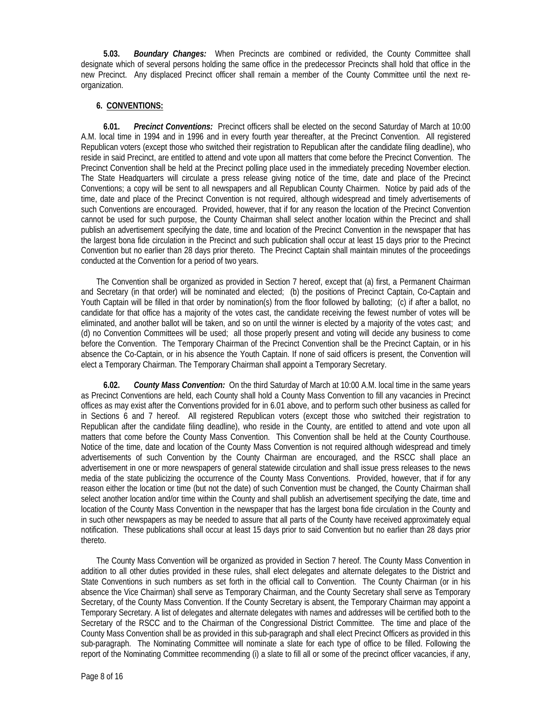**5.03.** *Boundary Changes:* When Precincts are combined or redivided, the County Committee shall designate which of several persons holding the same office in the predecessor Precincts shall hold that office in the new Precinct. Any displaced Precinct officer shall remain a member of the County Committee until the next reorganization.

# **6. CONVENTIONS:**

 **6.01.** *Precinct Conventions:* Precinct officers shall be elected on the second Saturday of March at 10:00 A.M. local time in 1994 and in 1996 and in every fourth year thereafter, at the Precinct Convention. All registered Republican voters (except those who switched their registration to Republican after the candidate filing deadline), who reside in said Precinct, are entitled to attend and vote upon all matters that come before the Precinct Convention. The Precinct Convention shall be held at the Precinct polling place used in the immediately preceding November election. The State Headquarters will circulate a press release giving notice of the time, date and place of the Precinct Conventions; a copy will be sent to all newspapers and all Republican County Chairmen. Notice by paid ads of the time, date and place of the Precinct Convention is not required, although widespread and timely advertisements of such Conventions are encouraged. Provided, however, that if for any reason the location of the Precinct Convention cannot be used for such purpose, the County Chairman shall select another location within the Precinct and shall publish an advertisement specifying the date, time and location of the Precinct Convention in the newspaper that has the largest bona fide circulation in the Precinct and such publication shall occur at least 15 days prior to the Precinct Convention but no earlier than 28 days prior thereto. The Precinct Captain shall maintain minutes of the proceedings conducted at the Convention for a period of two years.

The Convention shall be organized as provided in Section 7 hereof, except that (a) first, a Permanent Chairman and Secretary (in that order) will be nominated and elected; (b) the positions of Precinct Captain, Co-Captain and Youth Captain will be filled in that order by nomination(s) from the floor followed by balloting; (c) if after a ballot, no candidate for that office has a majority of the votes cast, the candidate receiving the fewest number of votes will be eliminated, and another ballot will be taken, and so on until the winner is elected by a majority of the votes cast; and (d) no Convention Committees will be used; all those properly present and voting will decide any business to come before the Convention. The Temporary Chairman of the Precinct Convention shall be the Precinct Captain, or in his absence the Co-Captain, or in his absence the Youth Captain. If none of said officers is present, the Convention will elect a Temporary Chairman. The Temporary Chairman shall appoint a Temporary Secretary.

 **6.02.** *County Mass Convention:* On the third Saturday of March at 10:00 A.M. local time in the same years as Precinct Conventions are held, each County shall hold a County Mass Convention to fill any vacancies in Precinct offices as may exist after the Conventions provided for in 6.01 above, and to perform such other business as called for in Sections 6 and 7 hereof. All registered Republican voters (except those who switched their registration to Republican after the candidate filing deadline), who reside in the County, are entitled to attend and vote upon all matters that come before the County Mass Convention. This Convention shall be held at the County Courthouse. Notice of the time, date and location of the County Mass Convention is not required although widespread and timely advertisements of such Convention by the County Chairman are encouraged, and the RSCC shall place an advertisement in one or more newspapers of general statewide circulation and shall issue press releases to the news media of the state publicizing the occurrence of the County Mass Conventions. Provided, however, that if for any reason either the location or time (but not the date) of such Convention must be changed, the County Chairman shall select another location and/or time within the County and shall publish an advertisement specifying the date, time and location of the County Mass Convention in the newspaper that has the largest bona fide circulation in the County and in such other newspapers as may be needed to assure that all parts of the County have received approximately equal notification. These publications shall occur at least 15 days prior to said Convention but no earlier than 28 days prior thereto.

The County Mass Convention will be organized as provided in Section 7 hereof. The County Mass Convention in addition to all other duties provided in these rules, shall elect delegates and alternate delegates to the District and State Conventions in such numbers as set forth in the official call to Convention. The County Chairman (or in his absence the Vice Chairman) shall serve as Temporary Chairman, and the County Secretary shall serve as Temporary Secretary, of the County Mass Convention. If the County Secretary is absent, the Temporary Chairman may appoint a Temporary Secretary. A list of delegates and alternate delegates with names and addresses will be certified both to the Secretary of the RSCC and to the Chairman of the Congressional District Committee. The time and place of the County Mass Convention shall be as provided in this sub-paragraph and shall elect Precinct Officers as provided in this sub-paragraph. The Nominating Committee will nominate a slate for each type of office to be filled. Following the report of the Nominating Committee recommending (i) a slate to fill all or some of the precinct officer vacancies, if any,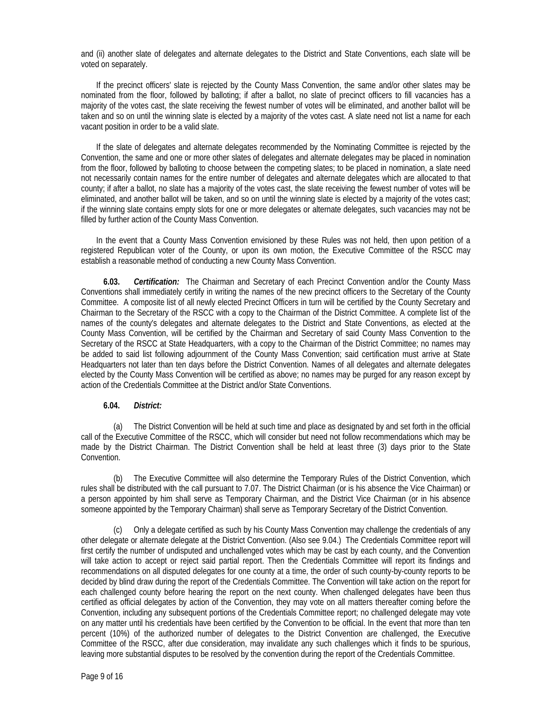and (ii) another slate of delegates and alternate delegates to the District and State Conventions, each slate will be voted on separately.

If the precinct officers' slate is rejected by the County Mass Convention, the same and/or other slates may be nominated from the floor, followed by balloting; if after a ballot, no slate of precinct officers to fill vacancies has a majority of the votes cast, the slate receiving the fewest number of votes will be eliminated, and another ballot will be taken and so on until the winning slate is elected by a majority of the votes cast. A slate need not list a name for each vacant position in order to be a valid slate.

If the slate of delegates and alternate delegates recommended by the Nominating Committee is rejected by the Convention, the same and one or more other slates of delegates and alternate delegates may be placed in nomination from the floor, followed by balloting to choose between the competing slates; to be placed in nomination, a slate need not necessarily contain names for the entire number of delegates and alternate delegates which are allocated to that county; if after a ballot, no slate has a majority of the votes cast, the slate receiving the fewest number of votes will be eliminated, and another ballot will be taken, and so on until the winning slate is elected by a majority of the votes cast; if the winning slate contains empty slots for one or more delegates or alternate delegates, such vacancies may not be filled by further action of the County Mass Convention.

In the event that a County Mass Convention envisioned by these Rules was not held, then upon petition of a registered Republican voter of the County, or upon its own motion, the Executive Committee of the RSCC may establish a reasonable method of conducting a new County Mass Convention.

 **6.03.** *Certification:* The Chairman and Secretary of each Precinct Convention and/or the County Mass Conventions shall immediately certify in writing the names of the new precinct officers to the Secretary of the County Committee. A composite list of all newly elected Precinct Officers in turn will be certified by the County Secretary and Chairman to the Secretary of the RSCC with a copy to the Chairman of the District Committee. A complete list of the names of the county's delegates and alternate delegates to the District and State Conventions, as elected at the County Mass Convention, will be certified by the Chairman and Secretary of said County Mass Convention to the Secretary of the RSCC at State Headquarters, with a copy to the Chairman of the District Committee; no names may be added to said list following adjournment of the County Mass Convention; said certification must arrive at State Headquarters not later than ten days before the District Convention. Names of all delegates and alternate delegates elected by the County Mass Convention will be certified as above; no names may be purged for any reason except by action of the Credentials Committee at the District and/or State Conventions.

#### **6.04.** *District:*

(a) The District Convention will be held at such time and place as designated by and set forth in the official call of the Executive Committee of the RSCC, which will consider but need not follow recommendations which may be made by the District Chairman. The District Convention shall be held at least three (3) days prior to the State Convention.

(b) The Executive Committee will also determine the Temporary Rules of the District Convention, which rules shall be distributed with the call pursuant to 7.07. The District Chairman (or is his absence the Vice Chairman) or a person appointed by him shall serve as Temporary Chairman, and the District Vice Chairman (or in his absence someone appointed by the Temporary Chairman) shall serve as Temporary Secretary of the District Convention.

Only a delegate certified as such by his County Mass Convention may challenge the credentials of any other delegate or alternate delegate at the District Convention. (Also see 9.04.) The Credentials Committee report will first certify the number of undisputed and unchallenged votes which may be cast by each county, and the Convention will take action to accept or reject said partial report. Then the Credentials Committee will report its findings and recommendations on all disputed delegates for one county at a time, the order of such county-by-county reports to be decided by blind draw during the report of the Credentials Committee. The Convention will take action on the report for each challenged county before hearing the report on the next county. When challenged delegates have been thus certified as official delegates by action of the Convention, they may vote on all matters thereafter coming before the Convention, including any subsequent portions of the Credentials Committee report; no challenged delegate may vote on any matter until his credentials have been certified by the Convention to be official. In the event that more than ten percent (10%) of the authorized number of delegates to the District Convention are challenged, the Executive Committee of the RSCC, after due consideration, may invalidate any such challenges which it finds to be spurious, leaving more substantial disputes to be resolved by the convention during the report of the Credentials Committee.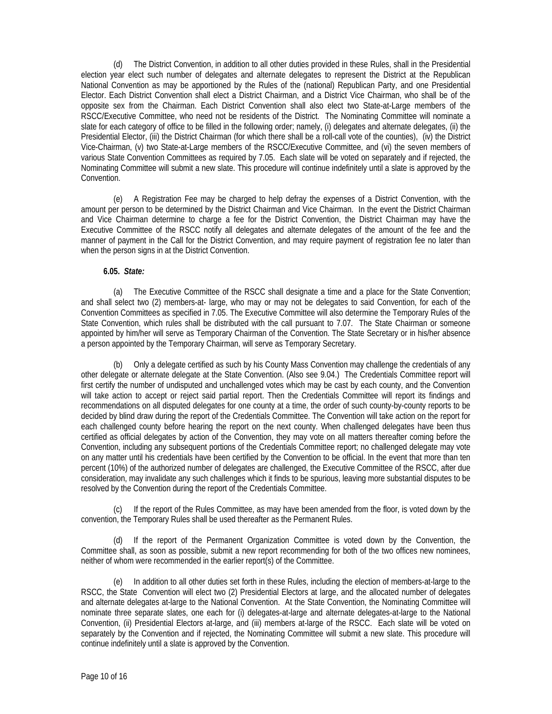(d) The District Convention, in addition to all other duties provided in these Rules, shall in the Presidential election year elect such number of delegates and alternate delegates to represent the District at the Republican National Convention as may be apportioned by the Rules of the (national) Republican Party, and one Presidential Elector. Each District Convention shall elect a District Chairman, and a District Vice Chairman, who shall be of the opposite sex from the Chairman. Each District Convention shall also elect two State-at-Large members of the RSCC/Executive Committee, who need not be residents of the District. The Nominating Committee will nominate a slate for each category of office to be filled in the following order; namely, (i) delegates and alternate delegates, (ii) the Presidential Elector, (iii) the District Chairman (for which there shall be a roll-call vote of the counties), (iv) the District Vice-Chairman, (v) two State-at-Large members of the RSCC/Executive Committee, and (vi) the seven members of various State Convention Committees as required by 7.05. Each slate will be voted on separately and if rejected, the Nominating Committee will submit a new slate. This procedure will continue indefinitely until a slate is approved by the Convention.

(e) A Registration Fee may be charged to help defray the expenses of a District Convention, with the amount per person to be determined by the District Chairman and Vice Chairman. In the event the District Chairman and Vice Chairman determine to charge a fee for the District Convention, the District Chairman may have the Executive Committee of the RSCC notify all delegates and alternate delegates of the amount of the fee and the manner of payment in the Call for the District Convention, and may require payment of registration fee no later than when the person signs in at the District Convention.

## **6.05.** *State:*

(a) The Executive Committee of the RSCC shall designate a time and a place for the State Convention; and shall select two (2) members-at- large, who may or may not be delegates to said Convention, for each of the Convention Committees as specified in 7.05. The Executive Committee will also determine the Temporary Rules of the State Convention, which rules shall be distributed with the call pursuant to 7.07. The State Chairman or someone appointed by him/her will serve as Temporary Chairman of the Convention. The State Secretary or in his/her absence a person appointed by the Temporary Chairman, will serve as Temporary Secretary.

(b) Only a delegate certified as such by his County Mass Convention may challenge the credentials of any other delegate or alternate delegate at the State Convention. (Also see 9.04.) The Credentials Committee report will first certify the number of undisputed and unchallenged votes which may be cast by each county, and the Convention will take action to accept or reject said partial report. Then the Credentials Committee will report its findings and recommendations on all disputed delegates for one county at a time, the order of such county-by-county reports to be decided by blind draw during the report of the Credentials Committee. The Convention will take action on the report for each challenged county before hearing the report on the next county. When challenged delegates have been thus certified as official delegates by action of the Convention, they may vote on all matters thereafter coming before the Convention, including any subsequent portions of the Credentials Committee report; no challenged delegate may vote on any matter until his credentials have been certified by the Convention to be official. In the event that more than ten percent (10%) of the authorized number of delegates are challenged, the Executive Committee of the RSCC, after due consideration, may invalidate any such challenges which it finds to be spurious, leaving more substantial disputes to be resolved by the Convention during the report of the Credentials Committee.

If the report of the Rules Committee, as may have been amended from the floor, is voted down by the convention, the Temporary Rules shall be used thereafter as the Permanent Rules.

(d) If the report of the Permanent Organization Committee is voted down by the Convention, the Committee shall, as soon as possible, submit a new report recommending for both of the two offices new nominees, neither of whom were recommended in the earlier report(s) of the Committee.

(e) In addition to all other duties set forth in these Rules, including the election of members-at-large to the RSCC, the State Convention will elect two (2) Presidential Electors at large, and the allocated number of delegates and alternate delegates at-large to the National Convention. At the State Convention, the Nominating Committee will nominate three separate slates, one each for (i) delegates-at-large and alternate delegates-at-large to the National Convention, (ii) Presidential Electors at-large, and (iii) members at-large of the RSCC. Each slate will be voted on separately by the Convention and if rejected, the Nominating Committee will submit a new slate. This procedure will continue indefinitely until a slate is approved by the Convention.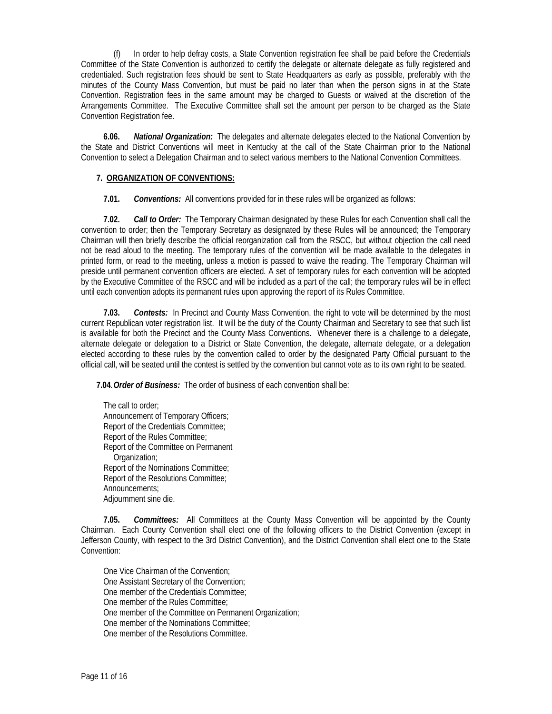In order to help defray costs, a State Convention registration fee shall be paid before the Credentials Committee of the State Convention is authorized to certify the delegate or alternate delegate as fully registered and credentialed. Such registration fees should be sent to State Headquarters as early as possible, preferably with the minutes of the County Mass Convention, but must be paid no later than when the person signs in at the State Convention. Registration fees in the same amount may be charged to Guests or waived at the discretion of the Arrangements Committee. The Executive Committee shall set the amount per person to be charged as the State Convention Registration fee.

 **6.06.** *National Organization:* The delegates and alternate delegates elected to the National Convention by the State and District Conventions will meet in Kentucky at the call of the State Chairman prior to the National Convention to select a Delegation Chairman and to select various members to the National Convention Committees.

# **7. ORGANIZATION OF CONVENTIONS:**

**7.01.** *Conventions:* All conventions provided for in these rules will be organized as follows:

 **7.02.** *Call to Order:* The Temporary Chairman designated by these Rules for each Convention shall call the convention to order; then the Temporary Secretary as designated by these Rules will be announced; the Temporary Chairman will then briefly describe the official reorganization call from the RSCC, but without objection the call need not be read aloud to the meeting. The temporary rules of the convention will be made available to the delegates in printed form, or read to the meeting, unless a motion is passed to waive the reading. The Temporary Chairman will preside until permanent convention officers are elected. A set of temporary rules for each convention will be adopted by the Executive Committee of the RSCC and will be included as a part of the call; the temporary rules will be in effect until each convention adopts its permanent rules upon approving the report of its Rules Committee.

 **7.03.** *Contests:* In Precinct and County Mass Convention, the right to vote will be determined by the most current Republican voter registration list. It will be the duty of the County Chairman and Secretary to see that such list is available for both the Precinct and the County Mass Conventions. Whenever there is a challenge to a delegate, alternate delegate or delegation to a District or State Convention, the delegate, alternate delegate, or a delegation elected according to these rules by the convention called to order by the designated Party Official pursuant to the official call, will be seated until the contest is settled by the convention but cannot vote as to its own right to be seated.

**7.04**. *Order of Business:* The order of business of each convention shall be:

The call to order; Announcement of Temporary Officers; Report of the Credentials Committee; Report of the Rules Committee; Report of the Committee on Permanent Organization; Report of the Nominations Committee; Report of the Resolutions Committee; Announcements; Adjournment sine die.

 **7.05.** *Committees:* All Committees at the County Mass Convention will be appointed by the County Chairman. Each County Convention shall elect one of the following officers to the District Convention (except in Jefferson County, with respect to the 3rd District Convention), and the District Convention shall elect one to the State Convention:

One Vice Chairman of the Convention; One Assistant Secretary of the Convention; One member of the Credentials Committee; One member of the Rules Committee; One member of the Committee on Permanent Organization; One member of the Nominations Committee; One member of the Resolutions Committee.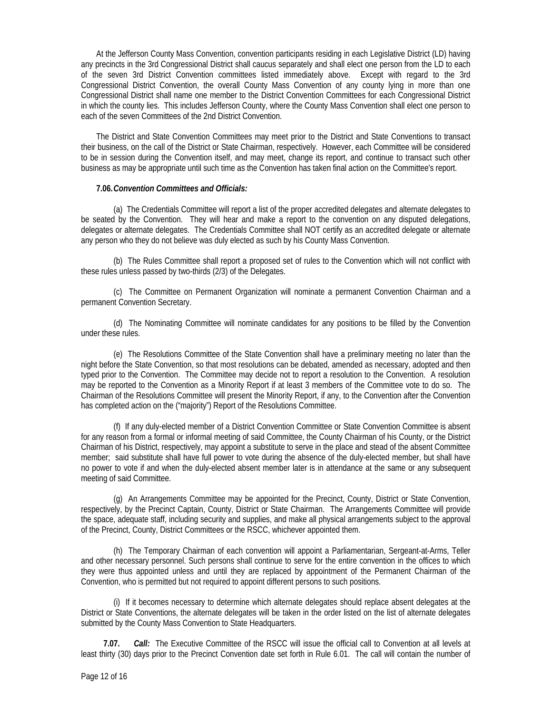At the Jefferson County Mass Convention, convention participants residing in each Legislative District (LD) having any precincts in the 3rd Congressional District shall caucus separately and shall elect one person from the LD to each of the seven 3rd District Convention committees listed immediately above. Except with regard to the 3rd Congressional District Convention, the overall County Mass Convention of any county lying in more than one Congressional District shall name one member to the District Convention Committees for each Congressional District in which the county lies. This includes Jefferson County, where the County Mass Convention shall elect one person to each of the seven Committees of the 2nd District Convention.

The District and State Convention Committees may meet prior to the District and State Conventions to transact their business, on the call of the District or State Chairman, respectively. However, each Committee will be considered to be in session during the Convention itself, and may meet, change its report, and continue to transact such other business as may be appropriate until such time as the Convention has taken final action on the Committee's report.

## **7.06.***Convention Committees and Officials:*

(a) The Credentials Committee will report a list of the proper accredited delegates and alternate delegates to be seated by the Convention. They will hear and make a report to the convention on any disputed delegations, delegates or alternate delegates. The Credentials Committee shall NOT certify as an accredited delegate or alternate any person who they do not believe was duly elected as such by his County Mass Convention.

(b) The Rules Committee shall report a proposed set of rules to the Convention which will not conflict with these rules unless passed by two-thirds (2/3) of the Delegates.

(c) The Committee on Permanent Organization will nominate a permanent Convention Chairman and a permanent Convention Secretary.

(d) The Nominating Committee will nominate candidates for any positions to be filled by the Convention under these rules.

(e) The Resolutions Committee of the State Convention shall have a preliminary meeting no later than the night before the State Convention, so that most resolutions can be debated, amended as necessary, adopted and then typed prior to the Convention. The Committee may decide not to report a resolution to the Convention. A resolution may be reported to the Convention as a Minority Report if at least 3 members of the Committee vote to do so. The Chairman of the Resolutions Committee will present the Minority Report, if any, to the Convention after the Convention has completed action on the ("majority") Report of the Resolutions Committee.

(f) If any duly-elected member of a District Convention Committee or State Convention Committee is absent for any reason from a formal or informal meeting of said Committee, the County Chairman of his County, or the District Chairman of his District, respectively, may appoint a substitute to serve in the place and stead of the absent Committee member; said substitute shall have full power to vote during the absence of the duly-elected member, but shall have no power to vote if and when the duly-elected absent member later is in attendance at the same or any subsequent meeting of said Committee.

(g) An Arrangements Committee may be appointed for the Precinct, County, District or State Convention, respectively, by the Precinct Captain, County, District or State Chairman. The Arrangements Committee will provide the space, adequate staff, including security and supplies, and make all physical arrangements subject to the approval of the Precinct, County, District Committees or the RSCC, whichever appointed them.

(h) The Temporary Chairman of each convention will appoint a Parliamentarian, Sergeant-at-Arms, Teller and other necessary personnel. Such persons shall continue to serve for the entire convention in the offices to which they were thus appointed unless and until they are replaced by appointment of the Permanent Chairman of the Convention, who is permitted but not required to appoint different persons to such positions.

(i) If it becomes necessary to determine which alternate delegates should replace absent delegates at the District or State Conventions, the alternate delegates will be taken in the order listed on the list of alternate delegates submitted by the County Mass Convention to State Headquarters.

 **7.07.** *Call:* The Executive Committee of the RSCC will issue the official call to Convention at all levels at least thirty (30) days prior to the Precinct Convention date set forth in Rule 6.01. The call will contain the number of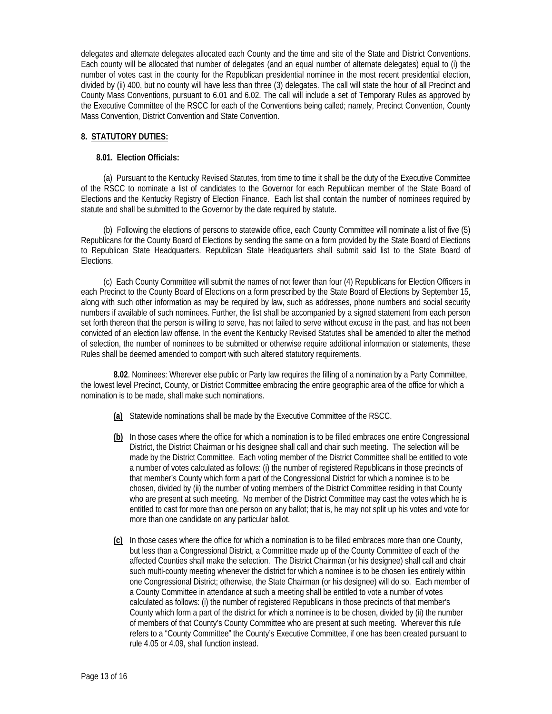delegates and alternate delegates allocated each County and the time and site of the State and District Conventions. Each county will be allocated that number of delegates (and an equal number of alternate delegates) equal to (i) the number of votes cast in the county for the Republican presidential nominee in the most recent presidential election, divided by (ii) 400, but no county will have less than three (3) delegates. The call will state the hour of all Precinct and County Mass Conventions, pursuant to 6.01 and 6.02. The call will include a set of Temporary Rules as approved by the Executive Committee of the RSCC for each of the Conventions being called; namely, Precinct Convention, County Mass Convention, District Convention and State Convention.

# **8. STATUTORY DUTIES:**

# **8.01. Election Officials:**

(a) Pursuant to the Kentucky Revised Statutes, from time to time it shall be the duty of the Executive Committee of the RSCC to nominate a list of candidates to the Governor for each Republican member of the State Board of Elections and the Kentucky Registry of Election Finance. Each list shall contain the number of nominees required by statute and shall be submitted to the Governor by the date required by statute.

(b) Following the elections of persons to statewide office, each County Committee will nominate a list of five (5) Republicans for the County Board of Elections by sending the same on a form provided by the State Board of Elections to Republican State Headquarters. Republican State Headquarters shall submit said list to the State Board of Elections.

(c) Each County Committee will submit the names of not fewer than four (4) Republicans for Election Officers in each Precinct to the County Board of Elections on a form prescribed by the State Board of Elections by September 15, along with such other information as may be required by law, such as addresses, phone numbers and social security numbers if available of such nominees. Further, the list shall be accompanied by a signed statement from each person set forth thereon that the person is willing to serve, has not failed to serve without excuse in the past, and has not been convicted of an election law offense. In the event the Kentucky Revised Statutes shall be amended to alter the method of selection, the number of nominees to be submitted or otherwise require additional information or statements, these Rules shall be deemed amended to comport with such altered statutory requirements.

 **8.02**. Nominees: Wherever else public or Party law requires the filling of a nomination by a Party Committee, the lowest level Precinct, County, or District Committee embracing the entire geographic area of the office for which a nomination is to be made, shall make such nominations.

- **(a)** Statewide nominations shall be made by the Executive Committee of the RSCC.
- **(b)** In those cases where the office for which a nomination is to be filled embraces one entire Congressional District, the District Chairman or his designee shall call and chair such meeting. The selection will be made by the District Committee. Each voting member of the District Committee shall be entitled to vote a number of votes calculated as follows: (i) the number of registered Republicans in those precincts of that member's County which form a part of the Congressional District for which a nominee is to be chosen, divided by (ii) the number of voting members of the District Committee residing in that County who are present at such meeting. No member of the District Committee may cast the votes which he is entitled to cast for more than one person on any ballot; that is, he may not split up his votes and vote for more than one candidate on any particular ballot.
- **(c)** In those cases where the office for which a nomination is to be filled embraces more than one County, but less than a Congressional District, a Committee made up of the County Committee of each of the affected Counties shall make the selection. The District Chairman (or his designee) shall call and chair such multi-county meeting whenever the district for which a nominee is to be chosen lies entirely within one Congressional District; otherwise, the State Chairman (or his designee) will do so. Each member of a County Committee in attendance at such a meeting shall be entitled to vote a number of votes calculated as follows: (i) the number of registered Republicans in those precincts of that member's County which form a part of the district for which a nominee is to be chosen, divided by (ii) the number of members of that County's County Committee who are present at such meeting. Wherever this rule refers to a "County Committee" the County's Executive Committee, if one has been created pursuant to rule 4.05 or 4.09, shall function instead.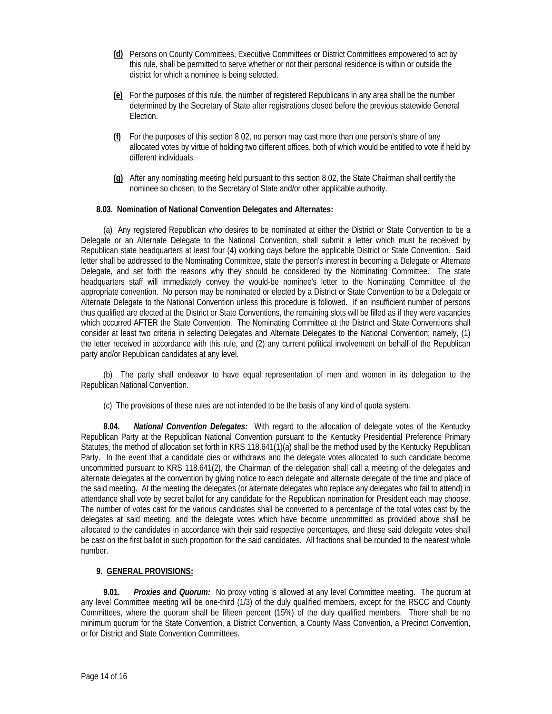- **(d)** Persons on County Committees, Executive Committees or District Committees empowered to act by this rule, shall be permitted to serve whether or not their personal residence is within or outside the district for which a nominee is being selected.
- **(e)** For the purposes of this rule, the number of registered Republicans in any area shall be the number determined by the Secretary of State after registrations closed before the previous statewide General Election.
- **(f)** For the purposes of this section 8.02, no person may cast more than one person's share of any allocated votes by virtue of holding two different offices, both of which would be entitled to vote if held by different individuals.
- **(g)** After any nominating meeting held pursuant to this section 8.02, the State Chairman shall certify the nominee so chosen, to the Secretary of State and/or other applicable authority.

# **8.03. Nomination of National Convention Delegates and Alternates:**

(a) Any registered Republican who desires to be nominated at either the District or State Convention to be a Delegate or an Alternate Delegate to the National Convention, shall submit a letter which must be received by Republican state headquarters at least four (4) working days before the applicable District or State Convention. Said letter shall be addressed to the Nominating Committee, state the person's interest in becoming a Delegate or Alternate Delegate, and set forth the reasons why they should be considered by the Nominating Committee. The state headquarters staff will immediately convey the would-be nominee's letter to the Nominating Committee of the appropriate convention. No person may be nominated or elected by a District or State Convention to be a Delegate or Alternate Delegate to the National Convention unless this procedure is followed. If an insufficient number of persons thus qualified are elected at the District or State Conventions, the remaining slots will be filled as if they were vacancies which occurred AFTER the State Convention. The Nominating Committee at the District and State Conventions shall consider at least two criteria in selecting Delegates and Alternate Delegates to the National Convention; namely, (1) the letter received in accordance with this rule, and (2) any current political involvement on behalf of the Republican party and/or Republican candidates at any level.

(b) The party shall endeavor to have equal representation of men and women in its delegation to the Republican National Convention.

(c) The provisions of these rules are not intended to be the basis of any kind of quota system.

 **8.04.** *National Convention Delegates:* With regard to the allocation of delegate votes of the Kentucky Republican Party at the Republican National Convention pursuant to the Kentucky Presidential Preference Primary Statutes, the method of allocation set forth in KRS 118.641(1)(a) shall be the method used by the Kentucky Republican Party. In the event that a candidate dies or withdraws and the delegate votes allocated to such candidate become uncommitted pursuant to KRS 118.641(2), the Chairman of the delegation shall call a meeting of the delegates and alternate delegates at the convention by giving notice to each delegate and alternate delegate of the time and place of the said meeting. At the meeting the delegates (or alternate delegates who replace any delegates who fail to attend) in attendance shall vote by secret ballot for any candidate for the Republican nomination for President each may choose. The number of votes cast for the various candidates shall be converted to a percentage of the total votes cast by the delegates at said meeting, and the delegate votes which have become uncommitted as provided above shall be allocated to the candidates in accordance with their said respective percentages, and these said delegate votes shall be cast on the first ballot in such proportion for the said candidates. All fractions shall be rounded to the nearest whole number.

# **9. GENERAL PROVISIONS:**

 **9.01.** *Proxies and Quorum:* No proxy voting is allowed at any level Committee meeting. The quorum at any level Committee meeting will be one-third (1/3) of the duly qualified members, except for the RSCC and County Committees, where the quorum shall be fifteen percent (15%) of the duly qualified members. There shall be no minimum quorum for the State Convention, a District Convention, a County Mass Convention, a Precinct Convention, or for District and State Convention Committees.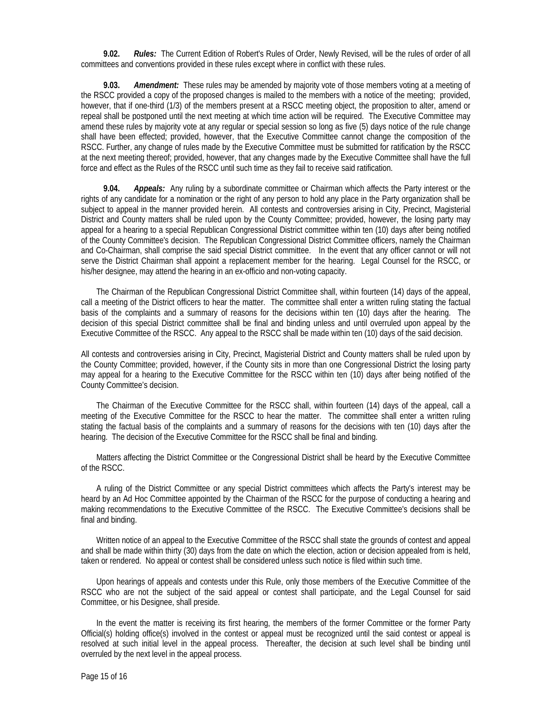**9.02.** *Rules:* The Current Edition of Robert's Rules of Order, Newly Revised, will be the rules of order of all committees and conventions provided in these rules except where in conflict with these rules.

 **9.03.** *Amendment:* These rules may be amended by majority vote of those members voting at a meeting of the RSCC provided a copy of the proposed changes is mailed to the members with a notice of the meeting; provided, however, that if one-third (1/3) of the members present at a RSCC meeting object, the proposition to alter, amend or repeal shall be postponed until the next meeting at which time action will be required. The Executive Committee may amend these rules by majority vote at any regular or special session so long as five (5) days notice of the rule change shall have been effected; provided, however, that the Executive Committee cannot change the composition of the RSCC. Further, any change of rules made by the Executive Committee must be submitted for ratification by the RSCC at the next meeting thereof; provided, however, that any changes made by the Executive Committee shall have the full force and effect as the Rules of the RSCC until such time as they fail to receive said ratification.

 **9.04.** *Appeals:* Any ruling by a subordinate committee or Chairman which affects the Party interest or the rights of any candidate for a nomination or the right of any person to hold any place in the Party organization shall be subject to appeal in the manner provided herein. All contests and controversies arising in City, Precinct, Magisterial District and County matters shall be ruled upon by the County Committee; provided, however, the losing party may appeal for a hearing to a special Republican Congressional District committee within ten (10) days after being notified of the County Committee's decision. The Republican Congressional District Committee officers, namely the Chairman and Co-Chairman, shall comprise the said special District committee. In the event that any officer cannot or will not serve the District Chairman shall appoint a replacement member for the hearing. Legal Counsel for the RSCC, or his/her designee, may attend the hearing in an ex-officio and non-voting capacity.

The Chairman of the Republican Congressional District Committee shall, within fourteen (14) days of the appeal, call a meeting of the District officers to hear the matter. The committee shall enter a written ruling stating the factual basis of the complaints and a summary of reasons for the decisions within ten (10) days after the hearing. The decision of this special District committee shall be final and binding unless and until overruled upon appeal by the Executive Committee of the RSCC. Any appeal to the RSCC shall be made within ten (10) days of the said decision.

All contests and controversies arising in City, Precinct, Magisterial District and County matters shall be ruled upon by the County Committee; provided, however, if the County sits in more than one Congressional District the losing party may appeal for a hearing to the Executive Committee for the RSCC within ten (10) days after being notified of the County Committee's decision.

The Chairman of the Executive Committee for the RSCC shall, within fourteen (14) days of the appeal, call a meeting of the Executive Committee for the RSCC to hear the matter. The committee shall enter a written ruling stating the factual basis of the complaints and a summary of reasons for the decisions with ten (10) days after the hearing. The decision of the Executive Committee for the RSCC shall be final and binding.

Matters affecting the District Committee or the Congressional District shall be heard by the Executive Committee of the RSCC.

A ruling of the District Committee or any special District committees which affects the Party's interest may be heard by an Ad Hoc Committee appointed by the Chairman of the RSCC for the purpose of conducting a hearing and making recommendations to the Executive Committee of the RSCC. The Executive Committee's decisions shall be final and binding.

Written notice of an appeal to the Executive Committee of the RSCC shall state the grounds of contest and appeal and shall be made within thirty (30) days from the date on which the election, action or decision appealed from is held, taken or rendered. No appeal or contest shall be considered unless such notice is filed within such time.

Upon hearings of appeals and contests under this Rule, only those members of the Executive Committee of the RSCC who are not the subject of the said appeal or contest shall participate, and the Legal Counsel for said Committee, or his Designee, shall preside.

In the event the matter is receiving its first hearing, the members of the former Committee or the former Party Official(s) holding office(s) involved in the contest or appeal must be recognized until the said contest or appeal is resolved at such initial level in the appeal process. Thereafter, the decision at such level shall be binding until overruled by the next level in the appeal process.